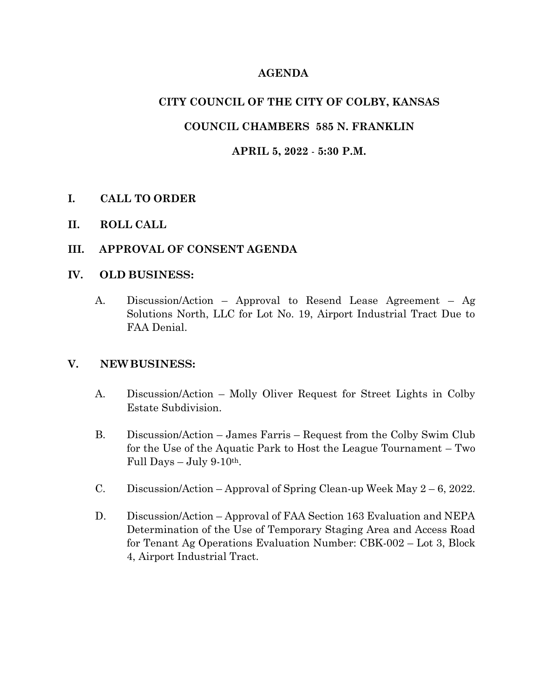# **AGENDA**

# **CITY COUNCIL OF THE CITY OF COLBY, KANSAS**

# **COUNCIL CHAMBERS 585 N. FRANKLIN**

### **APRIL 5, 2022** - **5:30 P.M.**

## **I. CALL TO ORDER**

**II. ROLL CALL**

### **III. APPROVAL OF CONSENT AGENDA**

#### **IV. OLD BUSINESS:**

A. Discussion/Action – Approval to Resend Lease Agreement – Ag Solutions North, LLC for Lot No. 19, Airport Industrial Tract Due to FAA Denial.

## **V. NEWBUSINESS:**

- A. Discussion/Action Molly Oliver Request for Street Lights in Colby Estate Subdivision.
- B. Discussion/Action James Farris Request from the Colby Swim Club for the Use of the Aquatic Park to Host the League Tournament – Two Full Days  $-$  July 9-10<sup>th</sup>.
- C. Discussion/Action Approval of Spring Clean-up Week May 2 6, 2022.
- D. Discussion/Action Approval of FAA Section 163 Evaluation and NEPA Determination of the Use of Temporary Staging Area and Access Road for Tenant Ag Operations Evaluation Number: CBK-002 – Lot 3, Block 4, Airport Industrial Tract.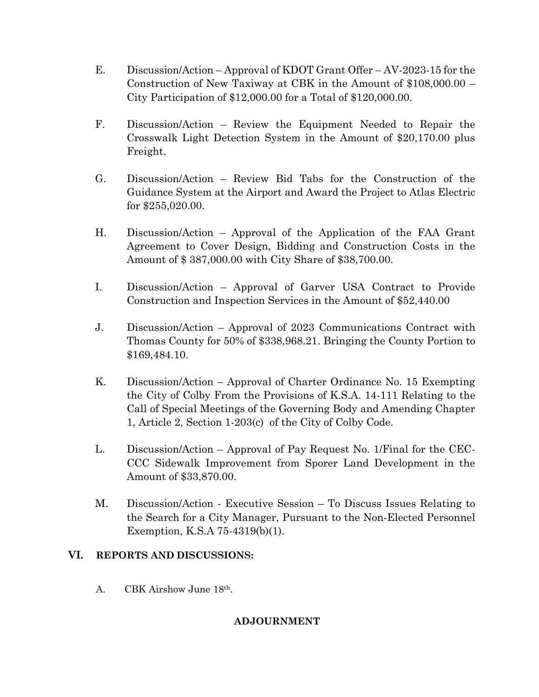- E. Discussion/Action Approval of KDOT Grant Offer AV-2023-15 for the Construction of New Taxiway at CBK in the Amount of \$108,000.00 – City Participation of \$12,000.00 for a Total of \$120,000.00.
- F. Discussion/Action Review the Equipment Needed to Repair the Crosswalk Light Detection System in the Amount of \$20,170.00 plus Freight.
- G. Discussion/Action Review Bid Tabs for the Construction of the Guidance System at the Airport and Award the Project to Atlas Electric for \$255,020.00.
- H. Discussion/Action Approval of the Application of the FAA Grant Agreement to Cover Design, Bidding and Construction Costs in the Amount of \$ 387,000.00 with City Share of \$38,700.00.
- I. Discussion/Action Approval of Garver USA Contract to Provide Construction and Inspection Services in the Amount of \$52,440.00
- J. Discussion/Action Approval of 2023 Communications Contract with Thomas County for 50% of \$338,968.21. Bringing the County Portion to \$169,484.10.
- K. Discussion/Action Approval of Charter Ordinance No. 15 Exempting the City of Colby From the Provisions of K.S.A. 14-111 Relating to the Call of Special Meetings of the Governing Body and Amending Chapter 1, Article 2, Section 1-203(c) of the City of Colby Code.
- L. Discussion/Action Approval of Pay Request No. 1/Final for the CEC-CCC Sidewalk Improvement from Sporer Land Development in the Amount of \$33,870.00.
- M. Discussion/Action Executive Session To Discuss Issues Relating to the Search for a City Manager, Pursuant to the Non-Elected Personnel Exemption, K.S.A 75-4319(b)(1).

## **VI. REPORTS AND DISCUSSIONS:**

A. CBK Airshow June 18th.

## **ADJOURNMENT**